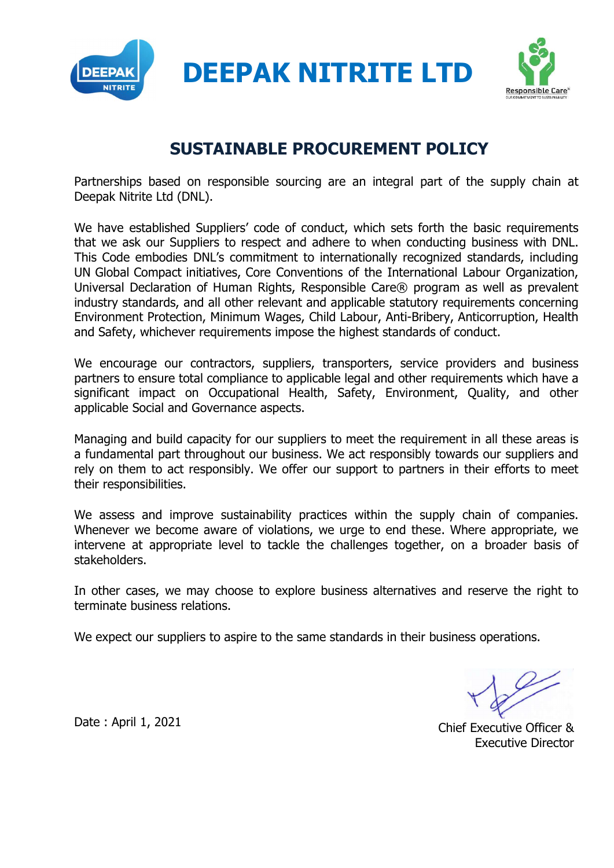

DEEPAK NITRITE LTD



## SUSTAINABLE PROCUREMENT POLICY

Partnerships based on responsible sourcing are an integral part of the supply chain at Deepak Nitrite Ltd (DNL).

We have established Suppliers' code of conduct, which sets forth the basic requirements that we ask our Suppliers to respect and adhere to when conducting business with DNL. This Code embodies DNL's commitment to internationally recognized standards, including UN Global Compact initiatives, Core Conventions of the International Labour Organization, Universal Declaration of Human Rights, Responsible Care® program as well as prevalent industry standards, and all other relevant and applicable statutory requirements concerning Environment Protection, Minimum Wages, Child Labour, Anti-Bribery, Anticorruption, Health and Safety, whichever requirements impose the highest standards of conduct.

We encourage our contractors, suppliers, transporters, service providers and business partners to ensure total compliance to applicable legal and other requirements which have a significant impact on Occupational Health, Safety, Environment, Quality, and other applicable Social and Governance aspects.

Managing and build capacity for our suppliers to meet the requirement in all these areas is a fundamental part throughout our business. We act responsibly towards our suppliers and rely on them to act responsibly. We offer our support to partners in their efforts to meet their responsibilities.

We assess and improve sustainability practices within the supply chain of companies. Whenever we become aware of violations, we urge to end these. Where appropriate, we intervene at appropriate level to tackle the challenges together, on a broader basis of stakeholders.

In other cases, we may choose to explore business alternatives and reserve the right to terminate business relations.

We expect our suppliers to aspire to the same standards in their business operations.

Date : April 1, 2021 2001 2001 2008 2012 2013 2014 2015 2016 2017 2018 2019 2019 2014 2016 2017 2018 2019 201 Executive Director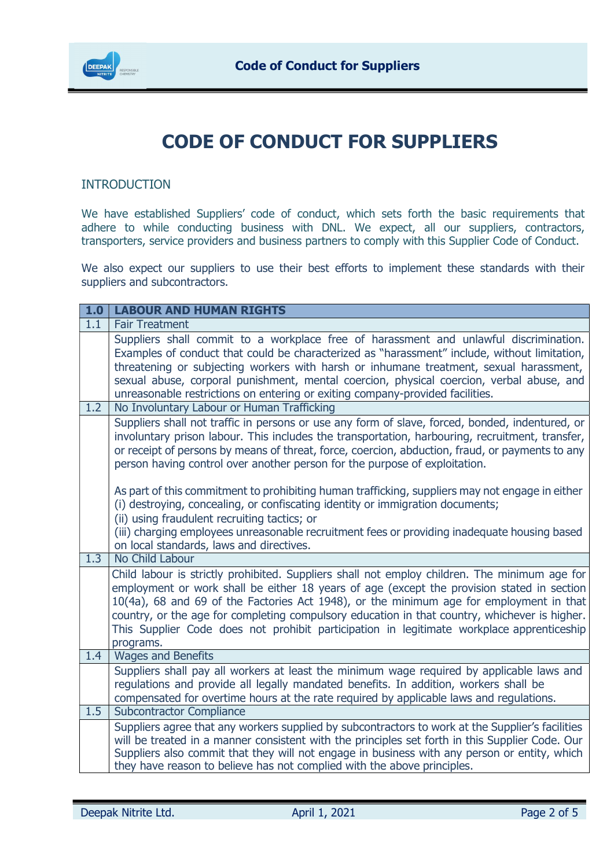

## CODE OF CONDUCT FOR SUPPLIERS

## INTRODUCTION

We have established Suppliers' code of conduct, which sets forth the basic requirements that adhere to while conducting business with DNL. We expect, all our suppliers, contractors, transporters, service providers and business partners to comply with this Supplier Code of Conduct.

We also expect our suppliers to use their best efforts to implement these standards with their suppliers and subcontractors.

| 1.0 | <b>LABOUR AND HUMAN RIGHTS</b>                                                                                                                                                                                                                                                                                                                                                                                                                                                                    |
|-----|---------------------------------------------------------------------------------------------------------------------------------------------------------------------------------------------------------------------------------------------------------------------------------------------------------------------------------------------------------------------------------------------------------------------------------------------------------------------------------------------------|
| 1.1 | <b>Fair Treatment</b>                                                                                                                                                                                                                                                                                                                                                                                                                                                                             |
|     | Suppliers shall commit to a workplace free of harassment and unlawful discrimination.<br>Examples of conduct that could be characterized as "harassment" include, without limitation,<br>threatening or subjecting workers with harsh or inhumane treatment, sexual harassment,<br>sexual abuse, corporal punishment, mental coercion, physical coercion, verbal abuse, and<br>unreasonable restrictions on entering or exiting company-provided facilities.                                      |
| 1.2 | No Involuntary Labour or Human Trafficking                                                                                                                                                                                                                                                                                                                                                                                                                                                        |
|     | Suppliers shall not traffic in persons or use any form of slave, forced, bonded, indentured, or<br>involuntary prison labour. This includes the transportation, harbouring, recruitment, transfer,<br>or receipt of persons by means of threat, force, coercion, abduction, fraud, or payments to any<br>person having control over another person for the purpose of exploitation.                                                                                                               |
|     | As part of this commitment to prohibiting human trafficking, suppliers may not engage in either<br>(i) destroying, concealing, or confiscating identity or immigration documents;<br>(ii) using fraudulent recruiting tactics; or                                                                                                                                                                                                                                                                 |
|     | (iii) charging employees unreasonable recruitment fees or providing inadequate housing based<br>on local standards, laws and directives.                                                                                                                                                                                                                                                                                                                                                          |
| 1.3 | No Child Labour                                                                                                                                                                                                                                                                                                                                                                                                                                                                                   |
|     | Child labour is strictly prohibited. Suppliers shall not employ children. The minimum age for<br>employment or work shall be either 18 years of age (except the provision stated in section<br>10(4a), 68 and 69 of the Factories Act 1948), or the minimum age for employment in that<br>country, or the age for completing compulsory education in that country, whichever is higher.<br>This Supplier Code does not prohibit participation in legitimate workplace apprenticeship<br>programs. |
| 1.4 | <b>Wages and Benefits</b>                                                                                                                                                                                                                                                                                                                                                                                                                                                                         |
|     | Suppliers shall pay all workers at least the minimum wage required by applicable laws and<br>regulations and provide all legally mandated benefits. In addition, workers shall be<br>compensated for overtime hours at the rate required by applicable laws and regulations.                                                                                                                                                                                                                      |
| 1.5 | <b>Subcontractor Compliance</b>                                                                                                                                                                                                                                                                                                                                                                                                                                                                   |
|     | Suppliers agree that any workers supplied by subcontractors to work at the Supplier's facilities<br>will be treated in a manner consistent with the principles set forth in this Supplier Code. Our<br>Suppliers also commit that they will not engage in business with any person or entity, which<br>they have reason to believe has not complied with the above principles.                                                                                                                    |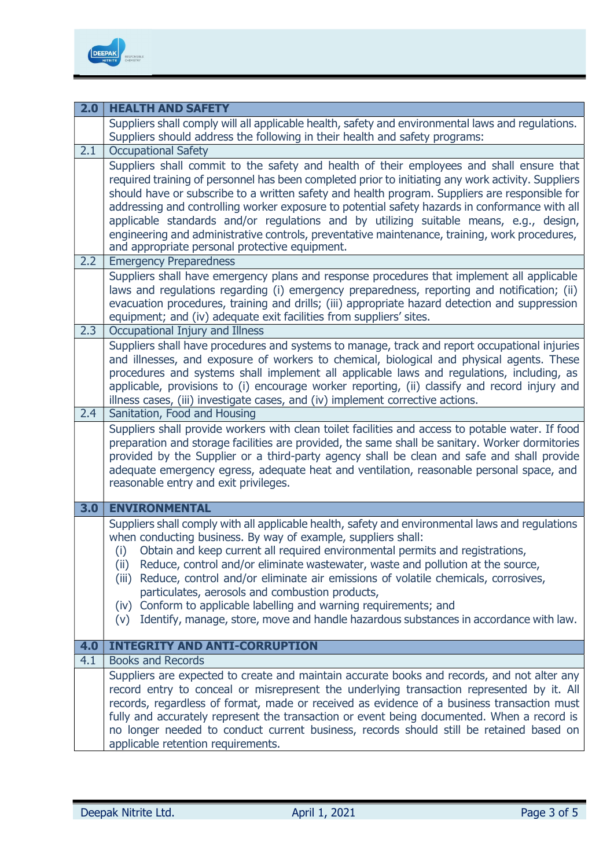

| 2.0 | <b>HEALTH AND SAFETY</b>                                                                                                                                                                                                                                                                                                                                                                                                                                                                                                                                                                                                                                                 |
|-----|--------------------------------------------------------------------------------------------------------------------------------------------------------------------------------------------------------------------------------------------------------------------------------------------------------------------------------------------------------------------------------------------------------------------------------------------------------------------------------------------------------------------------------------------------------------------------------------------------------------------------------------------------------------------------|
|     | Suppliers shall comply will all applicable health, safety and environmental laws and regulations.<br>Suppliers should address the following in their health and safety programs:                                                                                                                                                                                                                                                                                                                                                                                                                                                                                         |
| 2.1 | <b>Occupational Safety</b>                                                                                                                                                                                                                                                                                                                                                                                                                                                                                                                                                                                                                                               |
|     | Suppliers shall commit to the safety and health of their employees and shall ensure that<br>required training of personnel has been completed prior to initiating any work activity. Suppliers<br>should have or subscribe to a written safety and health program. Suppliers are responsible for<br>addressing and controlling worker exposure to potential safety hazards in conformance with all<br>applicable standards and/or regulations and by utilizing suitable means, e.g., design,<br>engineering and administrative controls, preventative maintenance, training, work procedures,<br>and appropriate personal protective equipment.                          |
| 2.2 | <b>Emergency Preparedness</b>                                                                                                                                                                                                                                                                                                                                                                                                                                                                                                                                                                                                                                            |
|     | Suppliers shall have emergency plans and response procedures that implement all applicable<br>laws and regulations regarding (i) emergency preparedness, reporting and notification; (ii)<br>evacuation procedures, training and drills; (iii) appropriate hazard detection and suppression<br>equipment; and (iv) adequate exit facilities from suppliers' sites.                                                                                                                                                                                                                                                                                                       |
| 2.3 | Occupational Injury and Illness                                                                                                                                                                                                                                                                                                                                                                                                                                                                                                                                                                                                                                          |
|     | Suppliers shall have procedures and systems to manage, track and report occupational injuries<br>and illnesses, and exposure of workers to chemical, biological and physical agents. These<br>procedures and systems shall implement all applicable laws and regulations, including, as<br>applicable, provisions to (i) encourage worker reporting, (ii) classify and record injury and<br>illness cases, (iii) investigate cases, and (iv) implement corrective actions.                                                                                                                                                                                               |
| 2.4 | Sanitation, Food and Housing                                                                                                                                                                                                                                                                                                                                                                                                                                                                                                                                                                                                                                             |
|     | Suppliers shall provide workers with clean toilet facilities and access to potable water. If food<br>preparation and storage facilities are provided, the same shall be sanitary. Worker dormitories<br>provided by the Supplier or a third-party agency shall be clean and safe and shall provide<br>adequate emergency egress, adequate heat and ventilation, reasonable personal space, and<br>reasonable entry and exit privileges.                                                                                                                                                                                                                                  |
| 3.0 | <b>ENVIRONMENTAL</b>                                                                                                                                                                                                                                                                                                                                                                                                                                                                                                                                                                                                                                                     |
|     | Suppliers shall comply with all applicable health, safety and environmental laws and regulations<br>when conducting business. By way of example, suppliers shall:<br>Obtain and keep current all required environmental permits and registrations,<br>(i)<br>(ii) Reduce, control and/or eliminate wastewater, waste and pollution at the source,<br>Reduce, control and/or eliminate air emissions of volatile chemicals, corrosives,<br>(iii)<br>particulates, aerosols and combustion products,<br>(iv) Conform to applicable labelling and warning requirements; and<br>Identify, manage, store, move and handle hazardous substances in accordance with law.<br>(V) |
| 4.0 | <b>INTEGRITY AND ANTI-CORRUPTION</b>                                                                                                                                                                                                                                                                                                                                                                                                                                                                                                                                                                                                                                     |
| 4.1 | <b>Books and Records</b>                                                                                                                                                                                                                                                                                                                                                                                                                                                                                                                                                                                                                                                 |
|     | Suppliers are expected to create and maintain accurate books and records, and not alter any<br>record entry to conceal or misrepresent the underlying transaction represented by it. All<br>records, regardless of format, made or received as evidence of a business transaction must<br>fully and accurately represent the transaction or event being documented. When a record is<br>no longer needed to conduct current business, records should still be retained based on<br>applicable retention requirements.                                                                                                                                                    |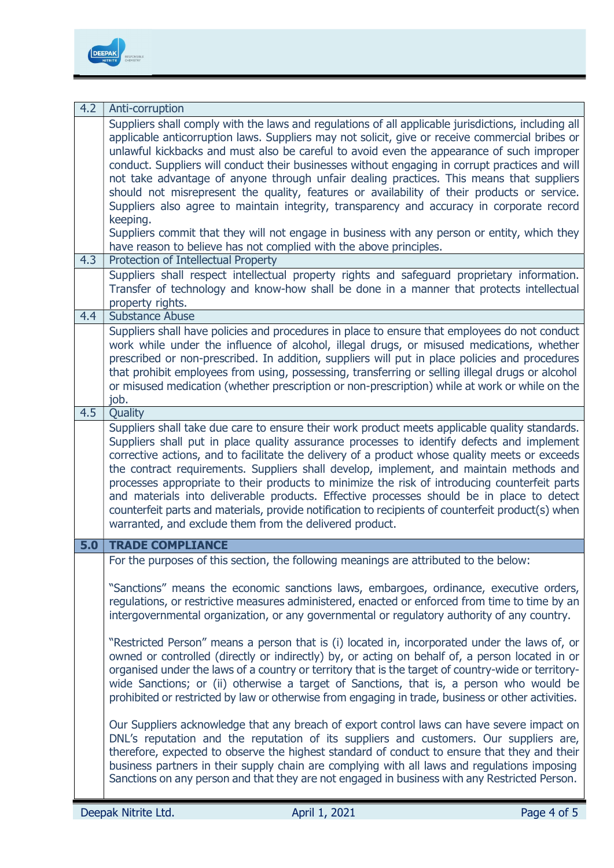

| 4.2 | Anti-corruption                                                                                                                                                                                                                                                                                                                                                                                                                                                                                                                                                                                                                                                                                                                                          |
|-----|----------------------------------------------------------------------------------------------------------------------------------------------------------------------------------------------------------------------------------------------------------------------------------------------------------------------------------------------------------------------------------------------------------------------------------------------------------------------------------------------------------------------------------------------------------------------------------------------------------------------------------------------------------------------------------------------------------------------------------------------------------|
|     | Suppliers shall comply with the laws and regulations of all applicable jurisdictions, including all<br>applicable anticorruption laws. Suppliers may not solicit, give or receive commercial bribes or<br>unlawful kickbacks and must also be careful to avoid even the appearance of such improper<br>conduct. Suppliers will conduct their businesses without engaging in corrupt practices and will<br>not take advantage of anyone through unfair dealing practices. This means that suppliers<br>should not misrepresent the quality, features or availability of their products or service.<br>Suppliers also agree to maintain integrity, transparency and accuracy in corporate record<br>keeping.                                               |
|     | Suppliers commit that they will not engage in business with any person or entity, which they<br>have reason to believe has not complied with the above principles.                                                                                                                                                                                                                                                                                                                                                                                                                                                                                                                                                                                       |
| 4.3 | Protection of Intellectual Property                                                                                                                                                                                                                                                                                                                                                                                                                                                                                                                                                                                                                                                                                                                      |
|     | Suppliers shall respect intellectual property rights and safeguard proprietary information.<br>Transfer of technology and know-how shall be done in a manner that protects intellectual<br>property rights.                                                                                                                                                                                                                                                                                                                                                                                                                                                                                                                                              |
| 4.4 | <b>Substance Abuse</b>                                                                                                                                                                                                                                                                                                                                                                                                                                                                                                                                                                                                                                                                                                                                   |
|     | Suppliers shall have policies and procedures in place to ensure that employees do not conduct<br>work while under the influence of alcohol, illegal drugs, or misused medications, whether<br>prescribed or non-prescribed. In addition, suppliers will put in place policies and procedures<br>that prohibit employees from using, possessing, transferring or selling illegal drugs or alcohol<br>or misused medication (whether prescription or non-prescription) while at work or while on the<br>job.                                                                                                                                                                                                                                               |
| 4.5 | Quality                                                                                                                                                                                                                                                                                                                                                                                                                                                                                                                                                                                                                                                                                                                                                  |
|     | Suppliers shall take due care to ensure their work product meets applicable quality standards.<br>Suppliers shall put in place quality assurance processes to identify defects and implement<br>corrective actions, and to facilitate the delivery of a product whose quality meets or exceeds<br>the contract requirements. Suppliers shall develop, implement, and maintain methods and<br>processes appropriate to their products to minimize the risk of introducing counterfeit parts<br>and materials into deliverable products. Effective processes should be in place to detect<br>counterfeit parts and materials, provide notification to recipients of counterfeit product(s) when<br>warranted, and exclude them from the delivered product. |
| 5.0 | <b>TRADE COMPLIANCE</b>                                                                                                                                                                                                                                                                                                                                                                                                                                                                                                                                                                                                                                                                                                                                  |
|     | For the purposes of this section, the following meanings are attributed to the below:                                                                                                                                                                                                                                                                                                                                                                                                                                                                                                                                                                                                                                                                    |
|     | "Sanctions" means the economic sanctions laws, embargoes, ordinance, executive orders,<br>regulations, or restrictive measures administered, enacted or enforced from time to time by an<br>intergovernmental organization, or any governmental or regulatory authority of any country.                                                                                                                                                                                                                                                                                                                                                                                                                                                                  |
|     | "Restricted Person" means a person that is (i) located in, incorporated under the laws of, or<br>owned or controlled (directly or indirectly) by, or acting on behalf of, a person located in or<br>organised under the laws of a country or territory that is the target of country-wide or territory-<br>wide Sanctions; or (ii) otherwise a target of Sanctions, that is, a person who would be<br>prohibited or restricted by law or otherwise from engaging in trade, business or other activities.                                                                                                                                                                                                                                                 |
|     | Our Suppliers acknowledge that any breach of export control laws can have severe impact on<br>DNL's reputation and the reputation of its suppliers and customers. Our suppliers are,<br>therefore, expected to observe the highest standard of conduct to ensure that they and their<br>business partners in their supply chain are complying with all laws and regulations imposing<br>Sanctions on any person and that they are not engaged in business with any Restricted Person.                                                                                                                                                                                                                                                                    |
|     | Deepak Nitrite Ltd.<br>April 1, 2021<br>Page 4 of 5                                                                                                                                                                                                                                                                                                                                                                                                                                                                                                                                                                                                                                                                                                      |